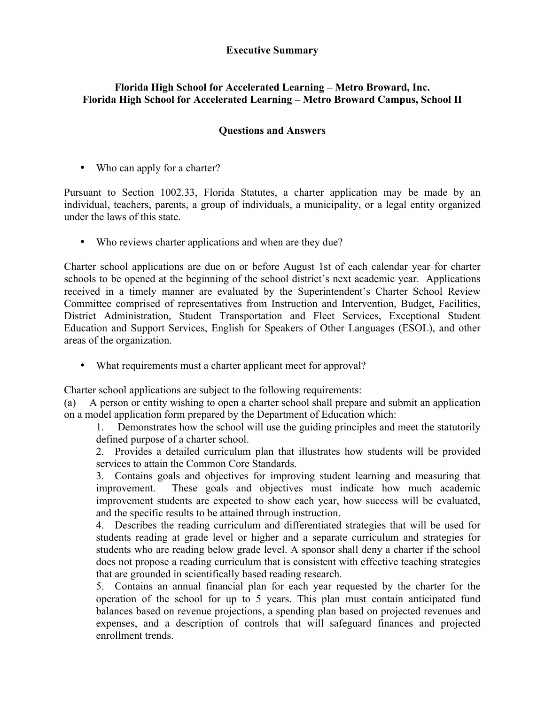## **Executive Summary**

## **Florida High School for Accelerated Learning – Metro Broward, Inc. Florida High School for Accelerated Learning – Metro Broward Campus, School II**

## **Questions and Answers**

• Who can apply for a charter?

Pursuant to Section 1002.33, Florida Statutes, a charter application may be made by an individual, teachers, parents, a group of individuals, a municipality, or a legal entity organized under the laws of this state.

• Who reviews charter applications and when are they due?

Charter school applications are due on or before August 1st of each calendar year for charter schools to be opened at the beginning of the school district's next academic year. Applications received in a timely manner are evaluated by the Superintendent's Charter School Review Committee comprised of representatives from Instruction and Intervention, Budget, Facilities, District Administration, Student Transportation and Fleet Services, Exceptional Student Education and Support Services, English for Speakers of Other Languages (ESOL), and other areas of the organization.

• What requirements must a charter applicant meet for approval?

Charter school applications are subject to the following requirements:

(a) A person or entity wishing to open a charter school shall prepare and submit an application on a model application form prepared by the Department of Education which:

1. Demonstrates how the school will use the guiding principles and meet the statutorily defined purpose of a charter school.

2. Provides a detailed curriculum plan that illustrates how students will be provided services to attain the Common Core Standards.

3. Contains goals and objectives for improving student learning and measuring that improvement. These goals and objectives must indicate how much academic improvement students are expected to show each year, how success will be evaluated, and the specific results to be attained through instruction.

4. Describes the reading curriculum and differentiated strategies that will be used for students reading at grade level or higher and a separate curriculum and strategies for students who are reading below grade level. A sponsor shall deny a charter if the school does not propose a reading curriculum that is consistent with effective teaching strategies that are grounded in scientifically based reading research.

5. Contains an annual financial plan for each year requested by the charter for the operation of the school for up to 5 years. This plan must contain anticipated fund balances based on revenue projections, a spending plan based on projected revenues and expenses, and a description of controls that will safeguard finances and projected enrollment trends.